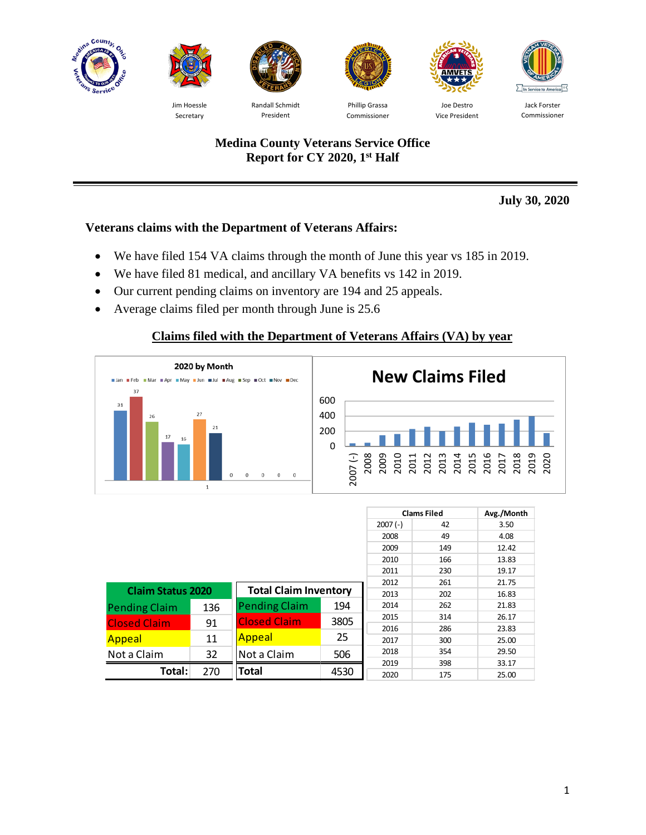



Jim Hoessle Secretary



Randall Schmidt President



Phillip Grassa Commissioner



Vice President



Jack Forster Commissioner

# **Medina County Veterans Service Office Report for CY 2020, 1st Half**

**July 30, 2020**

# **Veterans claims with the Department of Veterans Affairs:**

- We have filed 154 VA claims through the month of June this year vs 185 in 2019.
- We have filed 81 medical, and ancillary VA benefits vs 142 in 2019.
- Our current pending claims on inventory are 194 and 25 appeals.
- Average claims filed per month through June is 25.6

# **Claims filed with the Department of Veterans Affairs (VA) by year**



|                          |     |                              |      |           | <b>Clams Filed</b> | Avg./Month |
|--------------------------|-----|------------------------------|------|-----------|--------------------|------------|
|                          |     |                              |      | $2007(-)$ | 42                 | 3.50       |
|                          |     |                              |      | 2008      | 49                 | 4.08       |
|                          |     |                              |      | 2009      | 149                | 12.42      |
|                          |     |                              |      | 2010      | 166                | 13.83      |
|                          |     |                              |      | 2011      | 230                | 19.17      |
|                          |     |                              |      | 2012      | 261                | 21.75      |
| <b>Claim Status 2020</b> |     | <b>Total Claim Inventory</b> | 2013 | 202       | 16.83              |            |
| <b>Pending Claim</b>     | 136 | <b>Pending Claim</b><br>194  |      | 2014      | 262                | 21.83      |
| <b>Closed Claim</b>      | 91  | <b>Closed Claim</b><br>3805  |      | 2015      | 314                | 26.17      |
|                          |     |                              |      | 2016      | 286                | 23.83      |
| Appeal                   | 11  | 25<br><b>Appeal</b>          |      | 2017      | 300                | 25.00      |
| Not a Claim              | 32  | Not a Claim<br>506           |      | 2018      | 354                | 29.50      |
|                          |     |                              |      | 2019      | 398                | 33.17      |
| Total:                   | 270 | <b>Total</b>                 | 4530 | 2020      | 175                | 25.00      |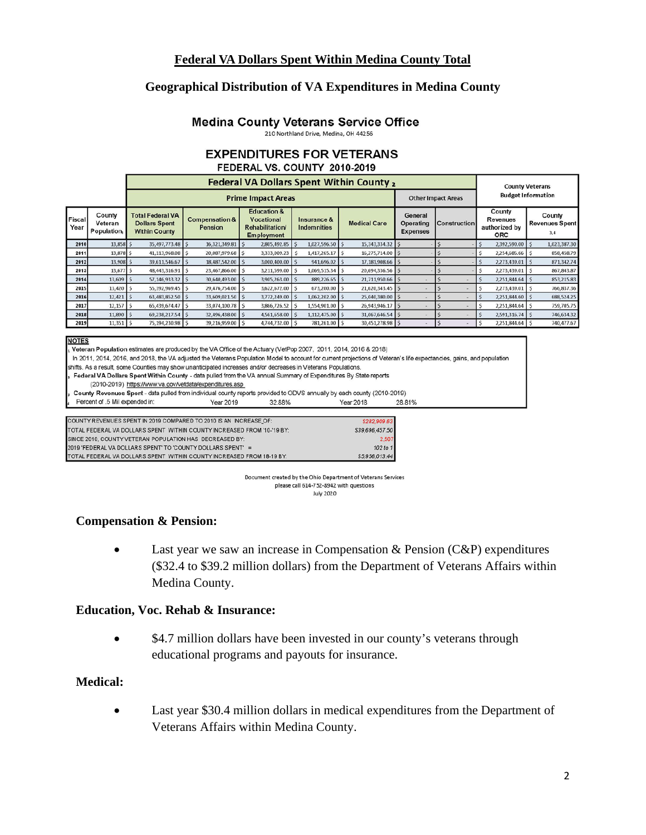#### **Federal VA Dollars Spent Within Medina County Total**

#### **Geographical Distribution of VA Expenditures in Medina County**

#### **Medina County Veterans Service Office**

210 Northland Drive, Medina, OH 44256

#### **EXPENDITURES FOR VETERANS** FEDERAL VS. COUNTY 2010-2019

|                |                                        |                                                                         | <b>County Veterans</b>               |                                                                                           |                            |                     |                                                |                     |                                                          |                                        |  |
|----------------|----------------------------------------|-------------------------------------------------------------------------|--------------------------------------|-------------------------------------------------------------------------------------------|----------------------------|---------------------|------------------------------------------------|---------------------|----------------------------------------------------------|----------------------------------------|--|
|                |                                        |                                                                         | <b>Budget Information</b>            |                                                                                           |                            |                     |                                                |                     |                                                          |                                        |  |
| Fiscal<br>Year | County<br>Veteran<br><b>Population</b> | <b>Total Federal VA</b><br><b>Dollars Spent</b><br><b>Within County</b> | <b>Compensation &amp;</b><br>Pension | <b>Education &amp;</b><br><b>Vocational</b><br><b>Rehabilitation</b><br><b>Employment</b> | Insurance &<br>Indemnities | <b>Medical Care</b> | General<br><b>Operating</b><br><b>Expenses</b> | <b>Construction</b> | County<br><b>Revenues</b><br>authorized by<br><b>ORC</b> | County<br><b>Revenues Spent</b><br>3.4 |  |
| 2010           | 13,858 \$                              | 35,497,773.48 \$                                                        | 16,321,349.81                        | 2,805,492.85 \$                                                                           | 1,027,596.50               | 15,343,334.32   \$  |                                                |                     | 2,392,590.00 \$                                          | 1,023,387.30                           |  |
| 2011           | 13,878 \$                              | 41,113,968.08   \$                                                      | 20,087,979.68   \$                   | 3,333,009.23 S                                                                            | 1,417,265.17               | 16,275,714.00   \$  |                                                |                     | 2,254,685.66 S                                           | 858,458.79                             |  |
| 2012           | 13,908 \$                              | 39,611,546.67 S                                                         | 18,487,542.00                        | 3,000,400.00 \$                                                                           | 941,696.02 \$              | 17,181,908.66   \$  |                                                |                     | 2,273,439.01                                             | 871,342.74                             |  |
| 2013           | 13,677 \$                              | 48,443,316.91   \$                                                      | 23,467,866.00                        | 3,211,599.00   \$                                                                         | 1,069,515.34 \$            | 20,694,336.56 \$    |                                                |                     | 2,273,439.01 \$                                          | 867, 843.87                            |  |
| 2014           | $13,609$ $\frac{1}{5}$                 | 57,146,933.32   \$                                                      | 30,640,493.00   \$                   | 3,905,263.00 \$                                                                           | 889,226.65   \$            | 21,711,950.66   \$  |                                                |                     | 2,251,844.64 \$                                          | 853,215.83                             |  |
| 2015           | $13,420$ S                             | 55,392,969.45   \$                                                      | 29,476,754.00   \$                   | 3,622,672.00 \$                                                                           | 673,200.00 \$              | 21,620,343.45   \$  |                                                |                     | 2,273,439.01   \$                                        | 766,837.36                             |  |
| 2016           | $12,421$ S                             | 63,483,852.50                                                           | 33,609,021.50                        | 3,772,249.00 S                                                                            | 1,062,202.00               | 25,040,380.00       |                                                |                     | 2,251,844.60                                             | 688,524.25                             |  |
| 2017           | 12,157                                 | 65,439,674.47   \$                                                      | 33,074,100.78 S                      | 3,866,726.52 S                                                                            | 1,554,901.00               | 26,943,946.17       |                                                |                     | 2,251,844.64 S                                           | 759,705.75                             |  |
| 2018           | $11,890$ S                             | 69,238,217.54   \$                                                      | 32,496,438.00 S                      | 4,561,658.00   \$                                                                         | 1,112,475.00 S             | 31,067,646.54   \$  |                                                |                     | 2,591,316.74   \$                                        | 746,634.32                             |  |
| 2019           | $11,351$ $\frac{1}{5}$                 | 75,194,230.98 \$                                                        | 39,216,959.00 S                      | 4,744,732.00 S                                                                            | 781,261.00 \$              | 30,451,278.98 \$    |                                                |                     | 2,251,844.64 \$                                          | 740,477.67                             |  |

#### **NOTES**

Veteran Population estimates are produced by the VA Office of the Actuary (VetPop 2007, 2011, 2014, 2016 & 2018)

In 2011, 2014, 2016, and 2018, the VA adjusted the Veterans Population Model to account for current projections of Veteran's life expectancies, gains, and population

shifts. As a result, some Counties may show unanticipated increases and/or decreases in Veterans Populations. Federal VA Dollars Spent Within County - data pulled from the VA annual Summary of Expenditures By State reports

(2010-2019) https://www.va.gov/vetdata/expenditures.asp

County Revenues Spent - data pulled from individual county reports provided to ODVS annually by each county (2010-2019)

Percent of .5 Mil expended in: Year 2019 32.88% **Year 2018** 28.81%

| COUNTY REVENUES SPENT IN 2019 COMPARED TO 2010 IS AN INCREASE OF:       | \$282,909.63    |
|-------------------------------------------------------------------------|-----------------|
| TOTAL FEDERAL VA DOLLARS SPENT WITHIN COUNTY INCREASED FROM '10-'19 BY: | \$39,696,457.50 |
| SINCE 2010, COUNTY VETERAN POPULATION HAS DECREASED BY:                 | 2.507           |
| 2019 'FEDERAL VA DOLLARS SPENT' TO 'COUNTY DOLLARS SPENT' =             | 102 to 1        |
| TOTAL FEDERAL VA DOLLARS SPENT WITHIN COUNTY INCREASED FROM 18-19 BY:   | \$5,956,013.44  |

Document created by the Ohio Department of Veterans Services please call 614-752-8942 with questions **July 2020** 

#### **Compensation & Pension:**

Last year we saw an increase in Compensation  $&$  Pension (C $&$ P) expenditures (\$32.4 to \$39.2 million dollars) from the Department of Veterans Affairs within Medina County.

#### **Education, Voc. Rehab & Insurance:**

\$4.7 million dollars have been invested in our county's veterans through educational programs and payouts for insurance.

#### **Medical:**

• Last year \$30.4 million dollars in medical expenditures from the Department of Veterans Affairs within Medina County.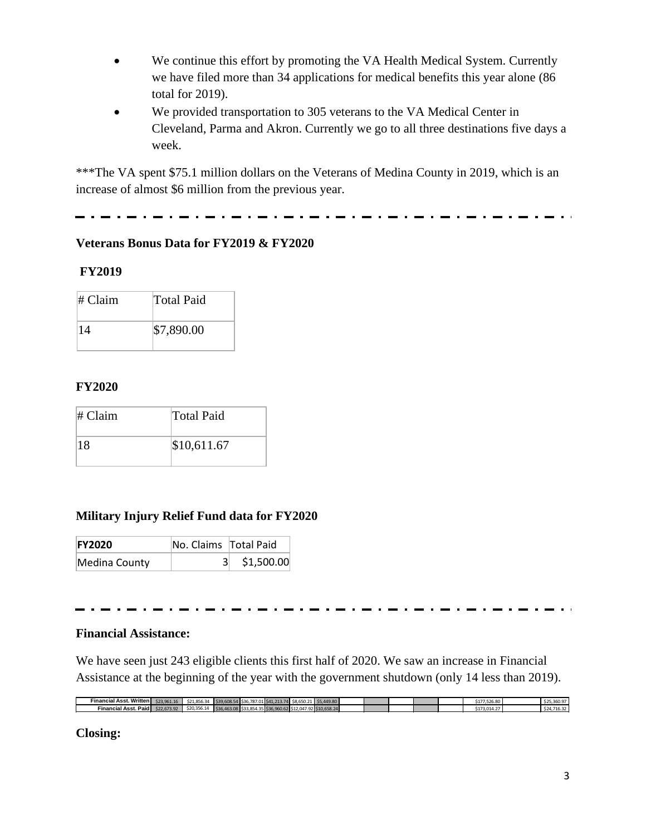- We continue this effort by promoting the VA Health Medical System. Currently we have filed more than 34 applications for medical benefits this year alone (86 total for 2019).
- We provided transportation to 305 veterans to the VA Medical Center in Cleveland, Parma and Akron. Currently we go to all three destinations five days a week.

\*\*\*The VA spent \$75.1 million dollars on the Veterans of Medina County in 2019, which is an increase of almost \$6 million from the previous year.

. . <u>. . . .</u> . . . . . . .

## **Veterans Bonus Data for FY2019 & FY2020**

### **FY2019**

| # Claim | <b>Total Paid</b> |
|---------|-------------------|
| 14      | \$7,890.00        |

### **FY2020**

| $#$ Claim | <b>Total Paid</b> |
|-----------|-------------------|
| 18        | \$10,611.67       |

# **Military Injury Relief Fund data for FY2020**

| <b>FY2020</b> | No. Claims   Total Paid |            |
|---------------|-------------------------|------------|
| Medina County | 31                      | \$1,500.00 |

# **Financial Assistance:**

We have seen just 243 eligible clients this first half of 2020. We saw an increase in Financial Assistance at the beginning of the year with the government shutdown (only 14 less than 2019).

| Financial Asst. Written             | $-22.961.16$ | $\Delta$ 34.054<br>521.856.3 |  | b. 787.011541.713.74 | - 58.650.21 P   | 33. <del>44</del> 9.80 |  |  | 7.526.80<br>51/ | co o-<br>323.300.5 |
|-------------------------------------|--------------|------------------------------|--|----------------------|-----------------|------------------------|--|--|-----------------|--------------------|
| <b>ıl Asst. Paid I</b><br>Financial | \$22,673,92  | <br>520,356.14               |  |                      | na <sup>-</sup> |                        |  |  | 5.UT4.          | 710.32             |
|                                     |              |                              |  |                      |                 |                        |  |  |                 |                    |

**Closing:**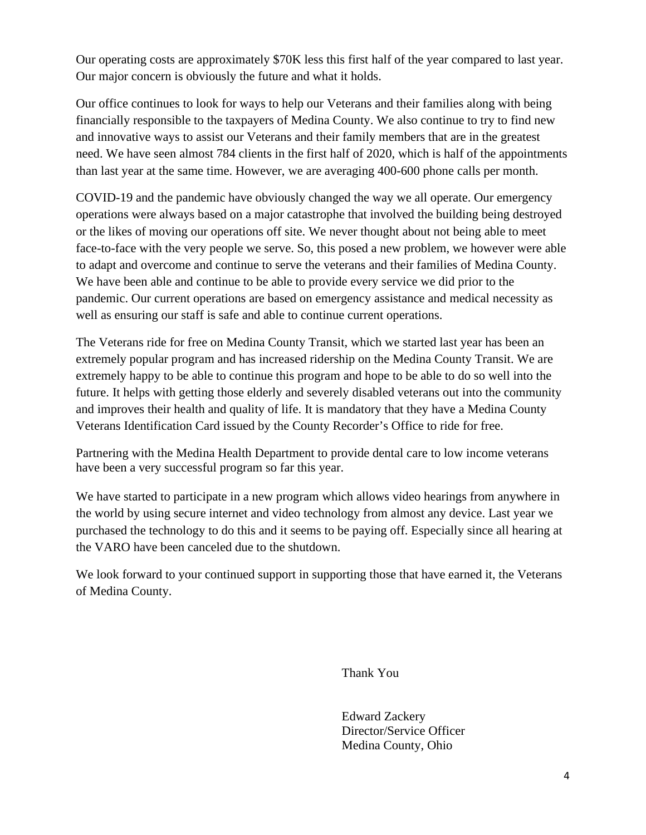Our operating costs are approximately \$70K less this first half of the year compared to last year. Our major concern is obviously the future and what it holds.

Our office continues to look for ways to help our Veterans and their families along with being financially responsible to the taxpayers of Medina County. We also continue to try to find new and innovative ways to assist our Veterans and their family members that are in the greatest need. We have seen almost 784 clients in the first half of 2020, which is half of the appointments than last year at the same time. However, we are averaging 400-600 phone calls per month.

COVID-19 and the pandemic have obviously changed the way we all operate. Our emergency operations were always based on a major catastrophe that involved the building being destroyed or the likes of moving our operations off site. We never thought about not being able to meet face-to-face with the very people we serve. So, this posed a new problem, we however were able to adapt and overcome and continue to serve the veterans and their families of Medina County. We have been able and continue to be able to provide every service we did prior to the pandemic. Our current operations are based on emergency assistance and medical necessity as well as ensuring our staff is safe and able to continue current operations.

The Veterans ride for free on Medina County Transit, which we started last year has been an extremely popular program and has increased ridership on the Medina County Transit. We are extremely happy to be able to continue this program and hope to be able to do so well into the future. It helps with getting those elderly and severely disabled veterans out into the community and improves their health and quality of life. It is mandatory that they have a Medina County Veterans Identification Card issued by the County Recorder's Office to ride for free.

Partnering with the Medina Health Department to provide dental care to low income veterans have been a very successful program so far this year.

We have started to participate in a new program which allows video hearings from anywhere in the world by using secure internet and video technology from almost any device. Last year we purchased the technology to do this and it seems to be paying off. Especially since all hearing at the VARO have been canceled due to the shutdown.

We look forward to your continued support in supporting those that have earned it, the Veterans of Medina County.

Thank You

Edward Zackery Director/Service Officer Medina County, Ohio